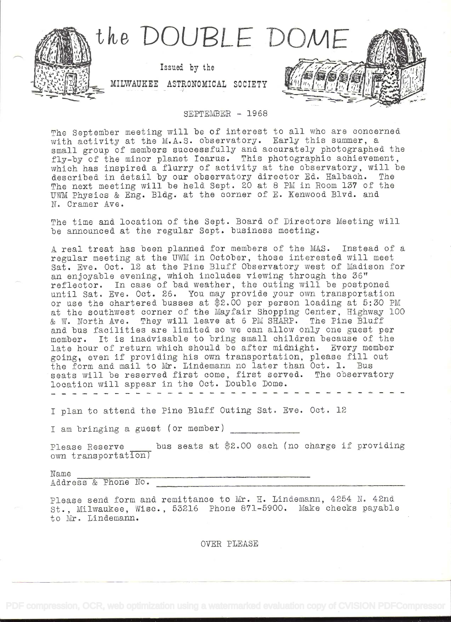

## SEPTEMBER - 1968

The September meeting will be of interest to all who are concerned with activity at the M.A.S. observatory. Early this summer, a small group of members successfully and accurately photographed the fly-by of the minor planet Icarus. This photographic achievement, which has inspired a flurry of activity at the observatory, will be which has inspired a fiarly of activity at each case water, where described in detail by our observatory director Ed. Halbach. The The next meeting will be held Sept. 20 at 8 PM in Room 137 of the The next meeting will be held Sept. 20 at 8 PM in Room 137 of the UWM Physics & Eng. Bldg. at the corner of E. Kenwood Blvd. and N. Cramer Ave.

The time and location of the Sept. Board of Directors Meeting will be announced at the regular Sept. business meeting.

A real treat has been planned for members of the MAS. Instead of a regalar meeting at the UWM in October, those interested will meet Sat. Eve. Oct. 12 at the Pine Bluff Observatory west of Madison for an enjoyable evening, which includes viewing through the 36"<br>reflector. In case of bad weather, the outing will be postponed an enjoyabic evening, which included viewing through the so<br>reflector. In case of bad weather, the outing will be postponed<br>until Sat. Eve. Oct. 26. You may provide your own transportation or use the chartered busses at  $*2.00$  per person loading at  $5:30$  PM at the southwest corner of the Mayfair Shopping Center, Highway 100 & w. North Ave. They will leave at 6 PM SHARP. The Fine Bluff and bus facilities are limited so we can allow only one guest per member. It is inadvisable to bring small children because of the late hour of return which should be after midnight. Every member late hour of return which should be after midnight. Every member<br>going, even if providing his own transportation, please fill out<br>the form and mail to Mr. Lindemann no later than Oct. 1. Bus<br>returnill be recented first com seats will be reserved first come, first served. The observatory location will appear in the Oct. Double Dome.

I plan to attend the Pine Bluff Outing Sat. Eve. Oct. 12

I am bringing a guest (or member)

Please Reserve  $\qquad$  bus seats at \$2.00 each (no charge if providing own transportation)

Name Address & Phone No.

Flease send form and remittance to Mr. H. Lindemann, 4254 N. 42nd St. , Milwaukee, V1isc. 53216 FIlone 871-6900. Make checks payable to Mr. Lindemann.